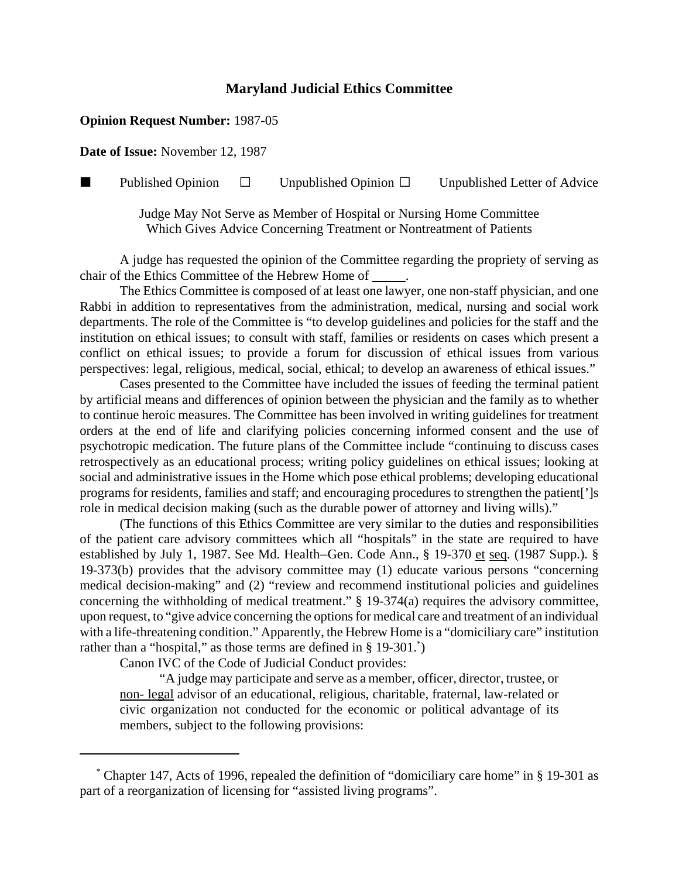## **Maryland Judicial Ethics Committee**

## **Opinion Request Number:** 1987-05

**Date of Issue:** November 12, 1987

**Published Opinion**  $\Box$  Unpublished Opinion  $\Box$  Unpublished Letter of Advice

Judge May Not Serve as Member of Hospital or Nursing Home Committee Which Gives Advice Concerning Treatment or Nontreatment of Patients

A judge has requested the opinion of the Committee regarding the propriety of serving as chair of the Ethics Committee of the Hebrew Home of .

The Ethics Committee is composed of at least one lawyer, one non-staff physician, and one Rabbi in addition to representatives from the administration, medical, nursing and social work departments. The role of the Committee is "to develop guidelines and policies for the staff and the institution on ethical issues; to consult with staff, families or residents on cases which present a conflict on ethical issues; to provide a forum for discussion of ethical issues from various perspectives: legal, religious, medical, social, ethical; to develop an awareness of ethical issues."

Cases presented to the Committee have included the issues of feeding the terminal patient by artificial means and differences of opinion between the physician and the family as to whether to continue heroic measures. The Committee has been involved in writing guidelines for treatment orders at the end of life and clarifying policies concerning informed consent and the use of psychotropic medication. The future plans of the Committee include "continuing to discuss cases retrospectively as an educational process; writing policy guidelines on ethical issues; looking at social and administrative issues in the Home which pose ethical problems; developing educational programs for residents, families and staff; and encouraging procedures to strengthen the patient[']s role in medical decision making (such as the durable power of attorney and living wills)."

(The functions of this Ethics Committee are very similar to the duties and responsibilities of the patient care advisory committees which all "hospitals" in the state are required to have established by July 1, 1987. See Md. Health–Gen. Code Ann.,  $\S$  19-370 et seq. (1987 Supp.).  $\S$ 19-373(b) provides that the advisory committee may (1) educate various persons "concerning medical decision-making" and (2) "review and recommend institutional policies and guidelines concerning the withholding of medical treatment." § 19-374(a) requires the advisory committee, upon request, to "give advice concerning the options for medical care and treatment of an individual with a life-threatening condition." Apparently, the Hebrew Home is a "domiciliary care" institution rather than a "hospital," as those terms are defined in § 19-301.<sup>\*</sup>)

Canon IVC of the Code of Judicial Conduct provides:

"A judge may participate and serve as a member, officer, director, trustee, or non- legal advisor of an educational, religious, charitable, fraternal, law-related or civic organization not conducted for the economic or political advantage of its members, subject to the following provisions:

 <sup>\*</sup> Chapter 147, Acts of 1996, repealed the definition of "domiciliary care home" in § 19-301 as part of a reorganization of licensing for "assisted living programs".